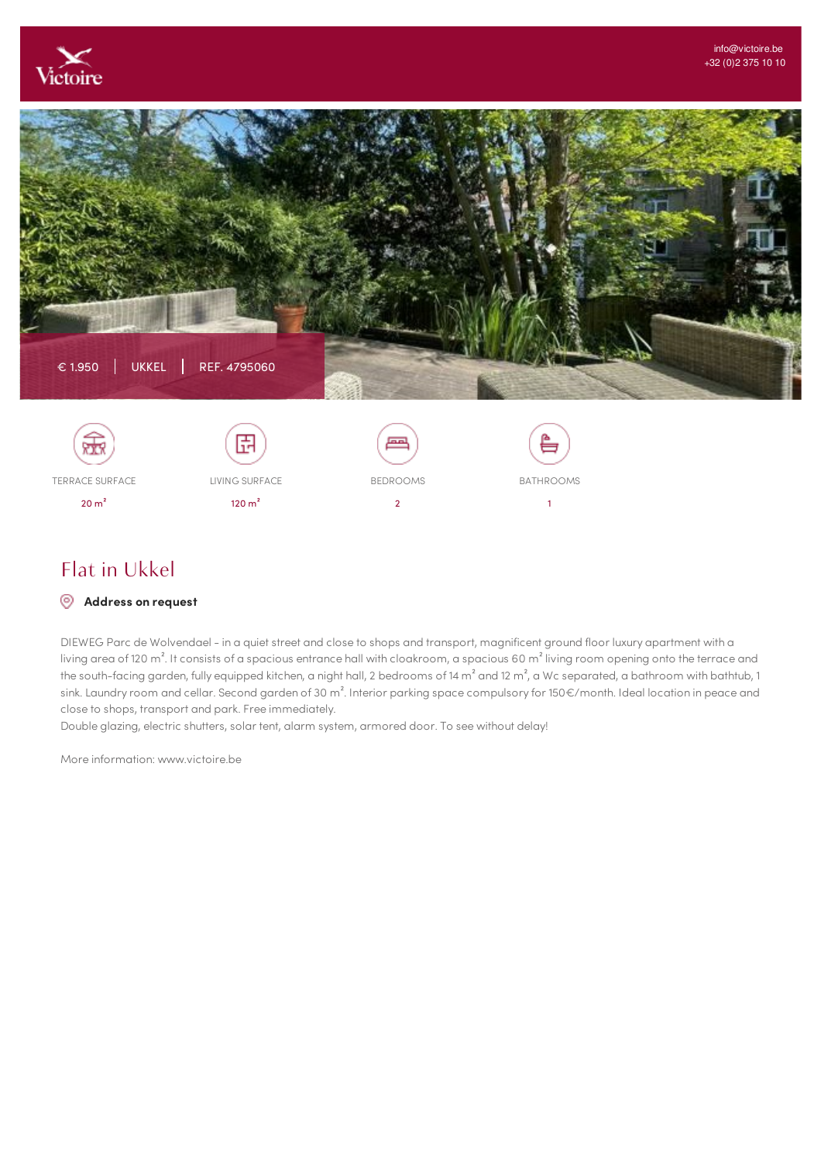



Flat in Ukkel

TERRACE SURFACE 20 m²

## **Address on request**

DIEWEG Parc de Wolvendael - in a quiet street and close to shops and transport, magnificent ground floor luxury apartment with a living area of 120 m<sup>2</sup>. It consists of a spacious entrance hall with cloakroom, a spacious 60 m<sup>2</sup> living room opening onto the terrace and the south-facing garden, fully equipped kitchen, a night hall, 2 bedrooms of 14 m<sup>2</sup> and 12 m<sup>2</sup>, a Wc separated, a bathroom with bathtub, 1 sink. Laundry room and cellar. Second garden of 30 m<sup>2</sup>. Interior parking space compulsory for 150€/month. Ideal location in peace and close to shops, transport and park. Free immediately.

BEDROOMS 2

BATHROOMS 1

Double glazing, electric shutters, solar tent, alarm system, armored door. To see without delay!

LIVING SURFACE 120 m²

More information: www.victoire.be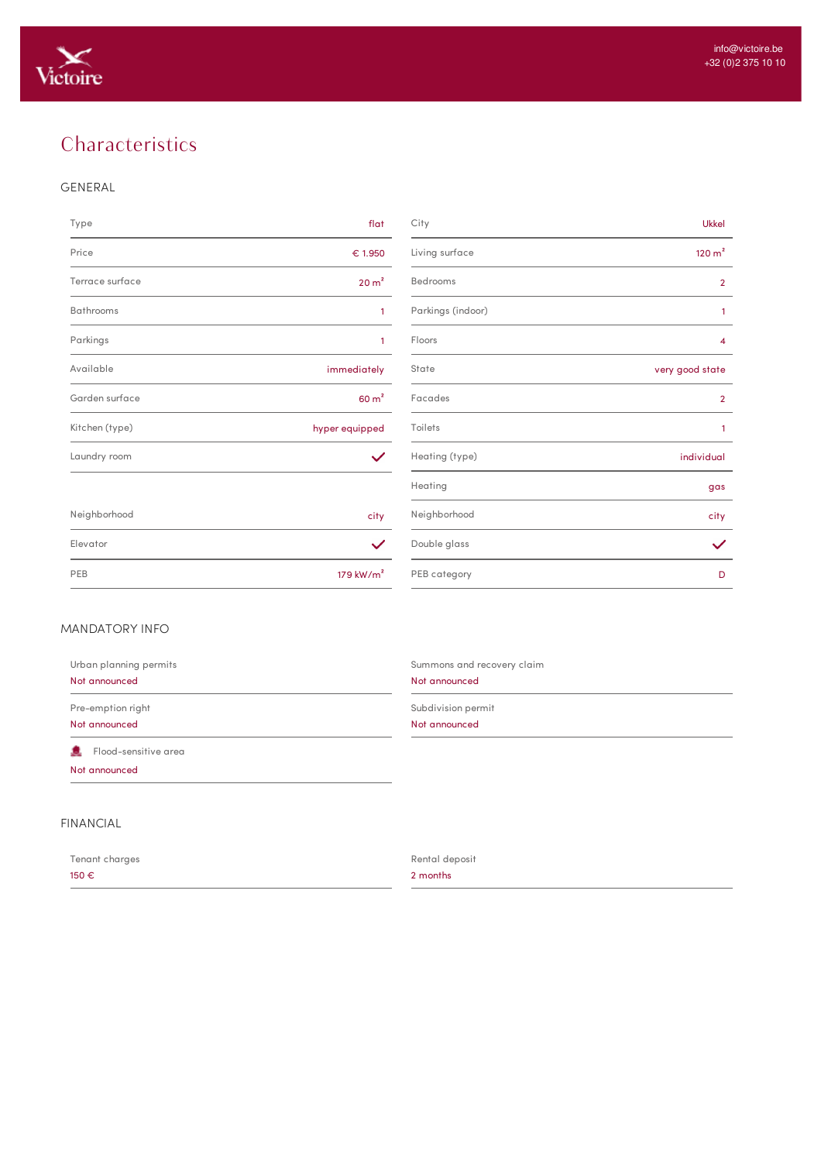

# **Characteristics**

#### GENERAL

| Type             | flat              | City              | <b>Ukkel</b>       |
|------------------|-------------------|-------------------|--------------------|
| Price            | € 1.950           | Living surface    | 120 m <sup>2</sup> |
| Terrace surface  | 20 m <sup>2</sup> | Bedrooms          | $\overline{2}$     |
| <b>Bathrooms</b> | $\mathbf{1}$      | Parkings (indoor) | $\mathbf{1}$       |
| Parkings         | $\mathbf{1}$      | Floors            | 4                  |
| Available        | immediately       | State             | very good state    |
| Garden surface   | 60 m <sup>2</sup> | Facades           | $\overline{2}$     |
| Kitchen (type)   | hyper equipped    | Toilets           | $\mathbf{1}$       |
| Laundry room     | $\checkmark$      | Heating (type)    | individual         |
|                  |                   | Heating           | gas                |
| Neighborhood     | city              | Neighborhood      | city               |
| Elevator         | $\checkmark$      | Double glass      | $\checkmark$       |
| $n - n$          |                   | $n = n$           |                    |

| Type             | flat              | City              | <b>Ukkel</b>       |
|------------------|-------------------|-------------------|--------------------|
| Price            | € 1.950           | Living surface    | 120 m <sup>2</sup> |
| Terrace surface  | 20 m <sup>2</sup> | Bedrooms          | $\overline{2}$     |
| <b>Bathrooms</b> | $\mathbf{1}$      | Parkings (indoor) | $\mathbf{1}$       |
| Parkings         | $\mathbf{1}$      | Floors            | $\overline{4}$     |
| Available        | immediately       | State             | very good state    |
| Garden surface   | 60 m <sup>2</sup> | Facades           | $\overline{2}$     |
| Kitchen (type)   | hyper equipped    | Toilets           | 1                  |
| Laundry room     | $\checkmark$      | Heating (type)    | individual         |
|                  |                   | Heating           | gas                |
| Neighborhood     | city              | Neighborhood      | city               |
| Elevator         | $\checkmark$      | Double glass      | $\checkmark$       |
| PEB              | 179 kW/ $m2$      | PEB category      | D                  |

### MANDATORY INFO

| Urban planning permits                | Summons and recovery claim |
|---------------------------------------|----------------------------|
| Not announced                         | Not announced              |
| Pre-emption right                     | Subdivision permit         |
| Not announced                         | Not announced              |
| Flood-sensitive area<br>Not announced |                            |

# FINANCIAL

| Tenant charges | Rental deposit |
|----------------|----------------|
| 150 €          | 2 months       |